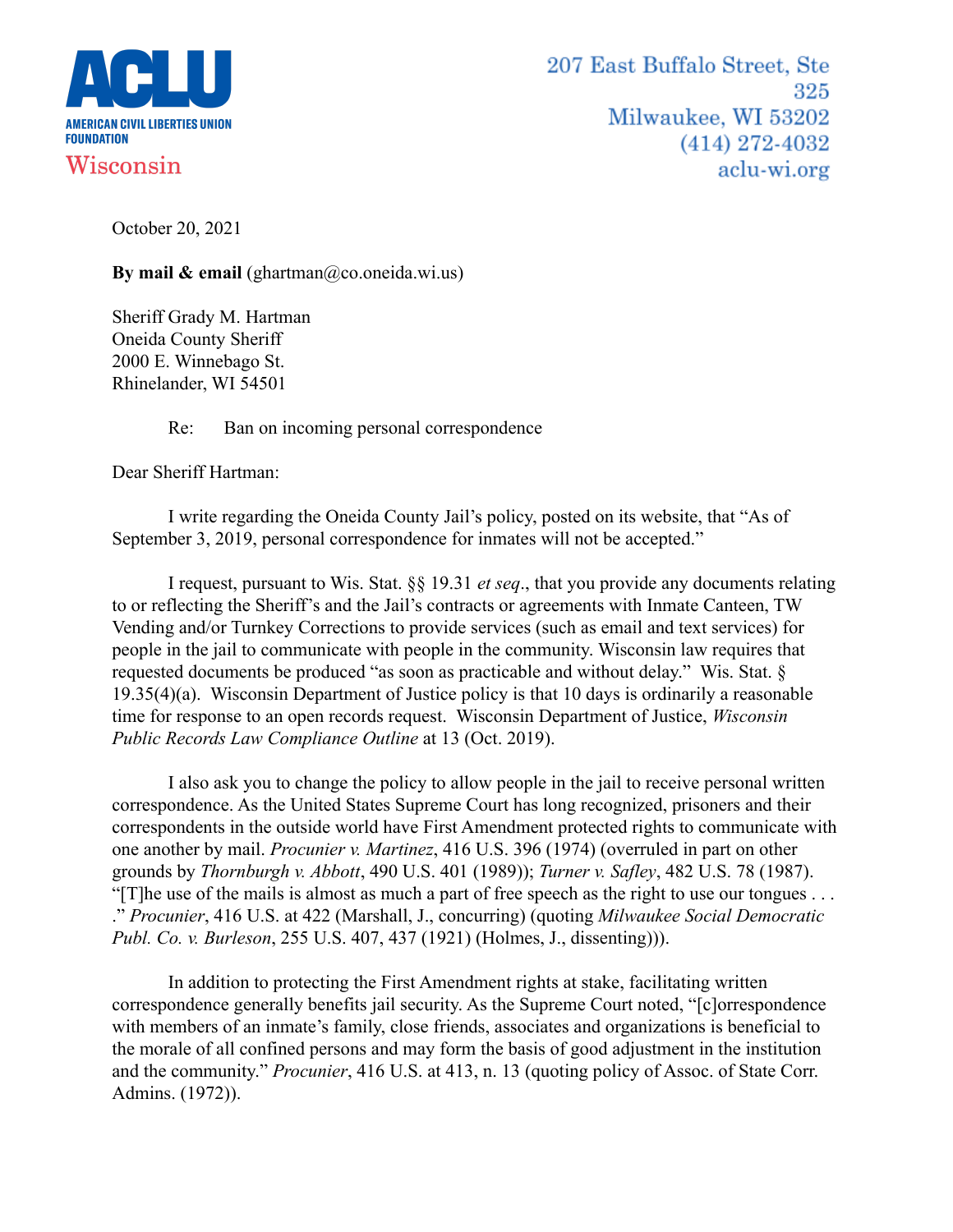

October 20, 2021

**By mail & email** (ghartman@co.oneida.wi.us)

Sheriff Grady M. Hartman Oneida County Sheriff 2000 E. Winnebago St. Rhinelander, WI 54501

Re: Ban on incoming personal correspondence

Dear Sheriff Hartman:

I write regarding the Oneida County Jail's policy, posted on its website, that "As of September 3, 2019, personal correspondence for inmates will not be accepted."

I request, pursuant to Wis. Stat. §§ 19.31 *et seq*., that you provide any documents relating to or reflecting the Sheriff's and the Jail's contracts or agreements with Inmate Canteen, TW Vending and/or Turnkey Corrections to provide services (such as email and text services) for people in the jail to communicate with people in the community. Wisconsin law requires that requested documents be produced "as soon as practicable and without delay." Wis. Stat. § 19.35(4)(a). Wisconsin Department of Justice policy is that 10 days is ordinarily a reasonable time for response to an open records request. Wisconsin Department of Justice, *Wisconsin Public Records Law Compliance Outline* at 13 (Oct. 2019).

I also ask you to change the policy to allow people in the jail to receive personal written correspondence. As the United States Supreme Court has long recognized, prisoners and their correspondents in the outside world have First Amendment protected rights to communicate with one another by mail. *Procunier v. Martinez*, 416 U.S. 396 (1974) (overruled in part on other grounds by *Thornburgh v. Abbott*, 490 U.S. 401 (1989)); *Turner v. Safley*, 482 U.S. 78 (1987). "[T]he use of the mails is almost as much a part of free speech as the right to use our tongues . . . ." *Procunier*, 416 U.S. at 422 (Marshall, J., concurring) (quoting *Milwaukee Social Democratic Publ. Co. v. Burleson*, 255 U.S. 407, 437 (1921) (Holmes, J., dissenting))).

In addition to protecting the First Amendment rights at stake, facilitating written correspondence generally benefits jail security. As the Supreme Court noted, "[c]orrespondence with members of an inmate's family, close friends, associates and organizations is beneficial to the morale of all confined persons and may form the basis of good adjustment in the institution and the community." *Procunier*, 416 U.S. at 413, n. 13 (quoting policy of Assoc. of State Corr. Admins. (1972)).